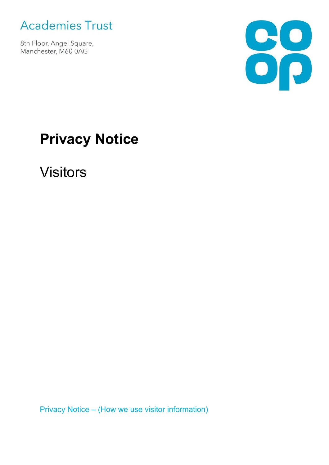

8th Floor, Angel Square, Manchester, M60 0AG



# **Privacy Notice**

Visitors

Privacy Notice – (How we use visitor information)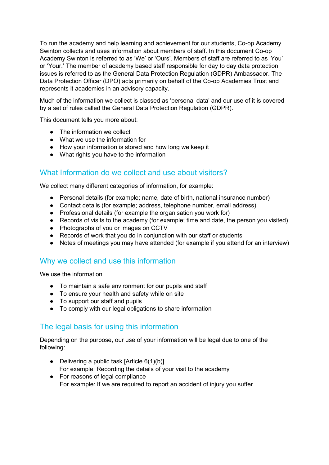To run the academy and help learning and achievement for our students, Co-op Academy Swinton collects and uses information about members of staff. In this document Co-op Academy Swinton is referred to as 'We' or 'Ours'. Members of staff are referred to as 'You' or 'Your.' The member of academy based staff responsible for day to day data protection issues is referred to as the General Data Protection Regulation (GDPR) Ambassador. The Data Protection Officer (DPO) acts primarily on behalf of the Co-op Academies Trust and represents it academies in an advisory capacity.

Much of the information we collect is classed as 'personal data' and our use of it is covered by a set of rules called the General Data Protection Regulation (GDPR).

This document tells you more about:

- The information we collect
- What we use the information for
- How your information is stored and how long we keep it
- What rights you have to the information

## What Information do we collect and use about visitors?

We collect many different categories of information, for example:

- Personal details (for example; name, date of birth, national insurance number)
- Contact details (for example; address, telephone number, email address)
- Professional details (for example the organisation you work for)
- Records of visits to the academy (for example; time and date, the person you visited)
- Photographs of you or images on CCTV
- Records of work that you do in conjunction with our staff or students
- Notes of meetings you may have attended (for example if you attend for an interview)

## Why we collect and use this information

We use the information

- To maintain a safe environment for our pupils and staff
- To ensure your health and safety while on site
- To support our staff and pupils
- To comply with our legal obligations to share information

## The legal basis for using this information

Depending on the purpose, our use of your information will be legal due to one of the following:

- Delivering a public task [Article  $6(1)(b)$ ] For example: Recording the details of your visit to the academy
- For reasons of legal compliance For example: If we are required to report an accident of injury you suffer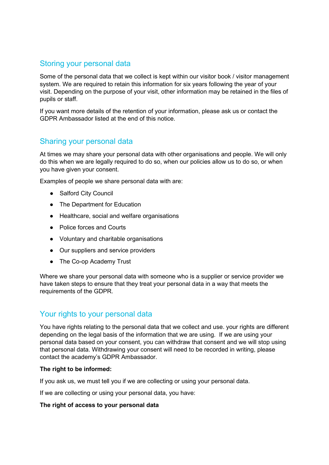## Storing your personal data

Some of the personal data that we collect is kept within our visitor book / visitor management system. We are required to retain this information for six years following the year of your visit. Depending on the purpose of your visit, other information may be retained in the files of pupils or staff.

If you want more details of the retention of your information, please ask us or contact the GDPR Ambassador listed at the end of this notice.

## Sharing your personal data

At times we may share your personal data with other organisations and people. We will only do this when we are legally required to do so, when our policies allow us to do so, or when you have given your consent.

Examples of people we share personal data with are:

- Salford City Council
- The Department for Education
- Healthcare, social and welfare organisations
- Police forces and Courts
- Voluntary and charitable organisations
- Our suppliers and service providers
- The Co-op Academy Trust

Where we share your personal data with someone who is a supplier or service provider we have taken steps to ensure that they treat your personal data in a way that meets the requirements of the GDPR.

## Your rights to your personal data

You have rights relating to the personal data that we collect and use. your rights are different depending on the legal basis of the information that we are using. If we are using your personal data based on your consent, you can withdraw that consent and we will stop using that personal data. Withdrawing your consent will need to be recorded in writing, please contact the academy's GDPR Ambassador.

#### **The right to be informed:**

If you ask us, we must tell you if we are collecting or using your personal data.

If we are collecting or using your personal data, you have:

#### **The right of access to your personal data**